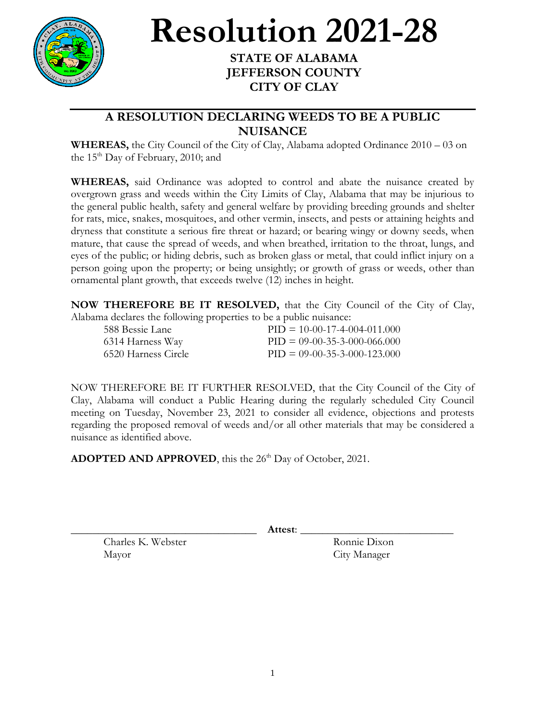

## **Resolution 2021-28**

## **STATE OF ALABAMA JEFFERSON COUNTY CITY OF CLAY**

## **A RESOLUTION DECLARING WEEDS TO BE A PUBLIC NUISANCE**

**WHEREAS,** the City Council of the City of Clay, Alabama adopted Ordinance 2010 – 03 on the  $15<sup>th</sup>$  Day of February, 2010; and

**WHEREAS,** said Ordinance was adopted to control and abate the nuisance created by overgrown grass and weeds within the City Limits of Clay, Alabama that may be injurious to the general public health, safety and general welfare by providing breeding grounds and shelter for rats, mice, snakes, mosquitoes, and other vermin, insects, and pests or attaining heights and dryness that constitute a serious fire threat or hazard; or bearing wingy or downy seeds, when mature, that cause the spread of weeds, and when breathed, irritation to the throat, lungs, and eyes of the public; or hiding debris, such as broken glass or metal, that could inflict injury on a person going upon the property; or being unsightly; or growth of grass or weeds, other than ornamental plant growth, that exceeds twelve (12) inches in height.

**NOW THEREFORE BE IT RESOLVED,** that the City Council of the City of Clay, Alabama declares the following properties to be a public nuisance:

| 588 Bessie Lane      | $PID = 10-00-17-4-004-011.000$ |
|----------------------|--------------------------------|
| 6314 Harness Way     | $PID = 09-00-35-3-000-066.000$ |
| -6520 Harness Circle | $PID = 09-00-35-3-000-123.000$ |

NOW THEREFORE BE IT FURTHER RESOLVED, that the City Council of the City of Clay, Alabama will conduct a Public Hearing during the regularly scheduled City Council meeting on Tuesday, November 23, 2021 to consider all evidence, objections and protests regarding the proposed removal of weeds and/or all other materials that may be considered a nuisance as identified above.

ADOPTED AND APPROVED, this the 26<sup>th</sup> Day of October, 2021.

\_\_\_\_\_\_\_\_\_\_\_\_\_\_\_\_\_\_\_\_\_\_\_\_\_\_\_\_\_\_\_\_\_\_ **Attest**: \_\_\_\_\_\_\_\_\_\_\_\_\_\_\_\_\_\_\_\_\_\_\_\_\_\_\_\_

Charles K. Webster Ronnie Dixon Mayor City Manager